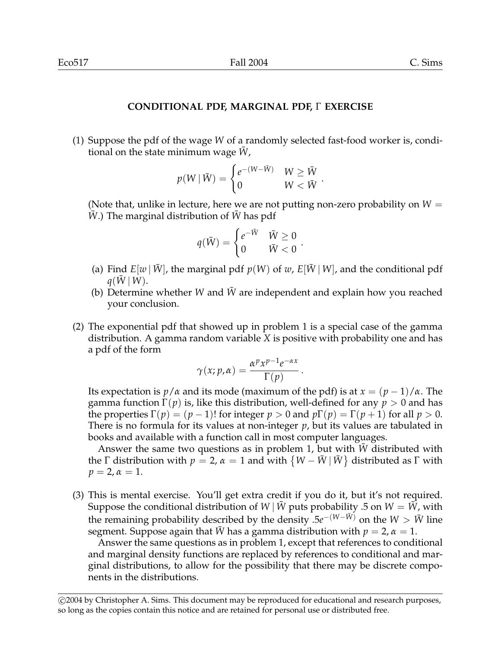## **CONDITIONAL PDF, MARGINAL PDF,**  $\Gamma$  **EXERCISE**

(1) Suppose the pdf of the wage *W* of a randomly selected fast-food worker is, conditional on the state minimum wage *W*,

$$
p(W | \bar{W}) = \begin{cases} e^{-(W - \bar{W})} & W \geq \bar{W} \\ 0 & W < \bar{W} \end{cases}.
$$

(Note that, unlike in lecture, here we are not putting non-zero probability on *W* = *W*.) The marginal distribution of *W* has pdf

$$
q(\bar{W}) = \begin{cases} e^{-\bar{W}} & \bar{W} \ge 0 \\ 0 & \bar{W} < 0 \end{cases}.
$$

- (a) Find  $E[w | \bar{W}]$ , the marginal pdf  $p(W)$  of w,  $E[\bar{W} | W]$ , and the conditional pdf  $q(W|W)$ .
- (b) Determine whether *W* and  $\bar{W}$  are independent and explain how you reached your conclusion.
- (2) The exponential pdf that showed up in problem 1 is a special case of the gamma distribution. A gamma random variable *X* is positive with probability one and has a pdf of the form

$$
\gamma(x; p, \alpha) = \frac{\alpha^p x^{p-1} e^{-\alpha x}}{\Gamma(p)}.
$$

Its expectation is  $p/\alpha$  and its mode (maximum of the pdf) is at  $x = (p-1)/\alpha$ . The gamma function  $\Gamma(p)$  is, like this distribution, well-defined for any  $p > 0$  and has the properties  $\Gamma(p) = (p-1)!$  for integer  $p > 0$  and  $p\Gamma(p) = \Gamma(p+1)$  for all  $p > 0$ . There is no formula for its values at non-integer *p*, but its values are tabulated in books and available with a function call in most computer languages.

Answer the same two questions as in problem 1, but with *W* distributed with the  $\Gamma$  distribution with  $p = 2$ ,  $\alpha = 1$  and with  $\{W - \bar{W} | \bar{W}\}$  distributed as  $\Gamma$  with  $p = 2, \alpha = 1.$ 

(3) This is mental exercise. You'll get extra credit if you do it, but it's not required. Suppose the conditional distribution of *W* |  $\bar{W}$  puts probability .5 on *W* =  $\bar{W}$ , with the remaining probability described by the density  $.5e^{-(W-\bar{W})}$  on the *W* > *W* line segment. Suppose again that  $\bar{W}$  has a gamma distribution with  $p = 2$ ,  $\alpha = 1$ .

Answer the same questions as in problem 1, except that references to conditional and marginal density functions are replaced by references to conditional and marginal distributions, to allow for the possibility that there may be discrete components in the distributions.

c 2004 by Christopher A. Sims. This document may be reproduced for educational and research purposes, so long as the copies contain this notice and are retained for personal use or distributed free.